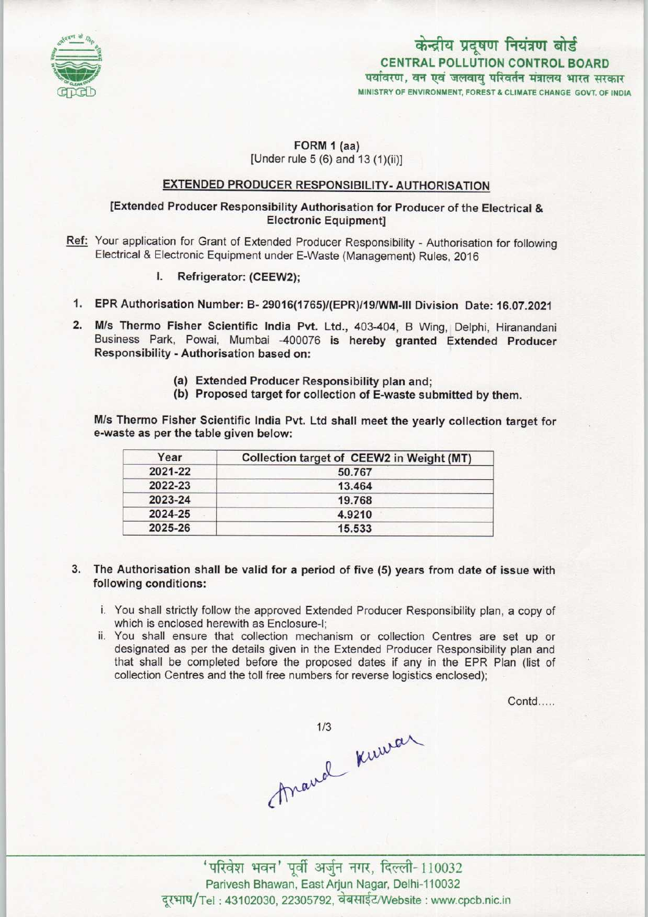

# केन्द्रीय प्रदूषण नियंत्रण बोर्ड CENTRAL POLLUTION CONTROL BOARD पर्यावरण, वन एवं जलवायु परिवर्तन मंत्रालय भारत सरकार

MINISTRY OF ENVIRONMENT, FOREST & CLIMATE CHANGE GOVT. OF INDIA

#### FORM 1 (as)  $[Under rule 5 (6) and 13 (1)(ii)]$

### EXTENDED PRODUCER RESPONSIBILITY- AUTHORISATION

### [Extended Producer Responsibility Authorisation for Producer of the Electrical & Electronic Equipment]

- Ref: Your application for Grant of Extended Producer Responsibility Authorisation for following Electrical & Electronic Equipment under E-Waste (Management) Rules, 2016
	- I. Refrigerator: (CEEW2);
- f. EPR Authorisation Number: B- 29016(1765)/(EPR)/19/WM-lll Division Date: 16.07.2021
- 2. M/s Thermo Fisher Scientific India Pvt. Ltd., 403-404, <sup>B</sup> Wing, Delphi, Hiranandani Business Park, Powai, Mumbai -400076 is hereby granted Extended Producer Responsibility - Authorisation based on:
	- (a)Extended Producer Responsibility plan and;
	- (b) Proposed target for collection of E-waste submitted by them.

M/s Thermo Fisher Scientific India Pvt. Ltd shall meet the yearly collection target for e-waste as per the table given below:

| Year    | Collection target of CEEW2 in Weight (MT) |
|---------|-------------------------------------------|
| 2021-22 | 50.767                                    |
| 2022-23 | 13.464                                    |
| 2023-24 | 19.768                                    |
| 2024-25 | 4.9210                                    |
| 2025-26 | 15.533                                    |

- 3. The Authorisation shall be valid for a period of five (5) yearsfrom date of issue with following conditions:
	- i, You shall strictly follow the approved Extended Producer Responsibility plan, a copy of which is enclosed herewith as Enclosure-I;
	- ii. You shall ensure that collection mechanism or collection Centres are set up or designated as per the details given in the Extended Producer Responsibility plan and that shall be completed before the proposed dates if any in the EPR Plan (list of collection Centres and the toll free numbers for reverse logistics enclosed):

Contd.....



'परिवेश भवन' पूर्वी अर्जुन नगर, दिल्ली-110032 Parivesh Bhawan, East Arjun Nagar, Delhi-110032 दूरभाष/Tel: 43102030, 22305792, वेबसाईट/Website : www.cpcb.nic.in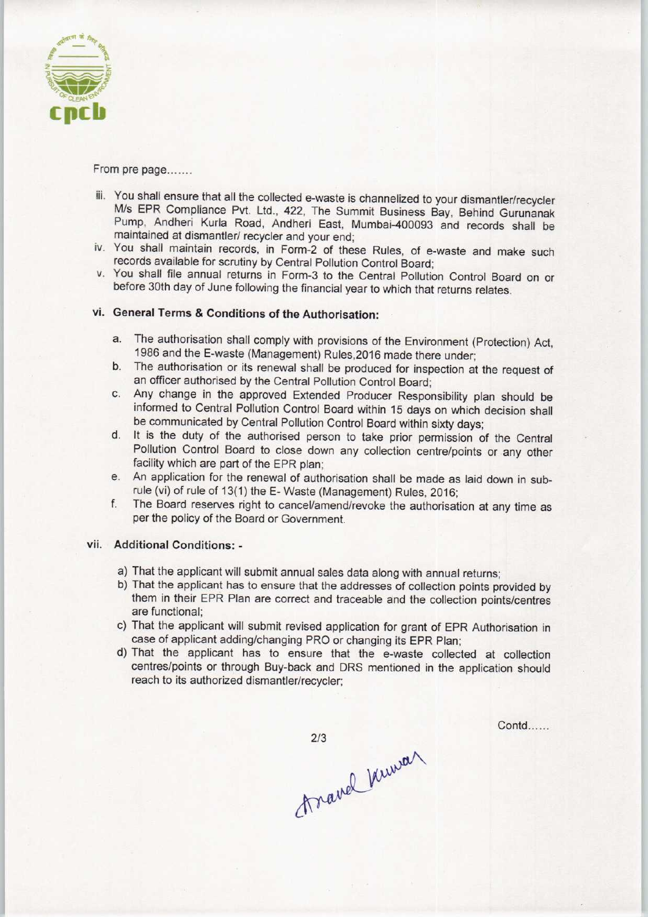

From pre page.......

- iii. You shall ensure that all the collected e-waste is channelized to your dismantler/recycler M/s EPR Compliance Pvt. Ltd., 422, The Summit Business Bay, Behind Gurunanak Pump, Andheri Kurla Road, Andheri East, Mumbai-400093 and records shall be maintained at dismantler/ recycler and your end;
- iv. You shall maintain records, in Form-2 of these Rules, of e-waste and make such records available for scrutiny by Central Pollution Control Board;
- v. You shall file annual returns in Form-3 to the Central Pollution Control Board on or before 30th day of June following the financial year to which that returns relates.

# vi. General Terms & Conditions of the Authorisation:

- a.The authorisation shall comply with provisions of the Environment (Protection) Act, 1986 and the E-waste (Management) Rules,2016 made there under;
- b.The authorisation or its renewal shall be produced for inspection at the request of an officer authorised by the Central Pollution Control Board;
- c.Any change in the approved Extended Producer Responsibility plan should be informed to Central Pollution Control Board within 15 days on which decision shall be communicated by Central Pollution Control Board within sixty days;
- d. It is the duty of the authorised person to take prior permission of the Central Pollution Control Board to close down any collection centre/points or any other facility which are part of the EPR plan;
- e.An application for the renewal of authorisation shall be made as laid down in subrule (vi) of rule of 13(1) the E-Waste (Management) Rules, 2016;
- f. The Board reserves right to cancel/amend/revoke the authorisation at any time as per the policy of the Board or Government.

#### vii. Additional Conditions: -

- a)That the applicant will submit annual sales data along with annual returns;
- b)That the applicant has to ensure that the addresses of collection points provided by them in their EPR Plan are correct and traceable and the collection points/centres are functional;
- c) That the applicant will submit revised application for grant of EPR Authorisation in case of applicant adding/changing PRO or changing its EPR Plan;
- d)That the applicant has to ensure that the e-waste collected at collection centres/points or through Buy-back and DRS mentioned in the application should reach to its authorized dismantler/recycler;

 $2/3$ travel kuwa  $Contd$ .....